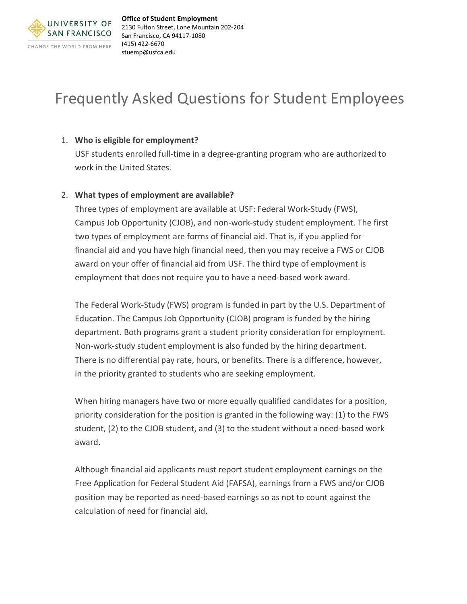

# Frequently Asked Questions for Student Employees

# 1. **Who is eligible for employment?**

USF students enrolled full-time in a degree-granting program who are authorized to work in the United States.

# 2. **What types of employment are available?**

Three types of employment are available at USF: Federal Work-Study (FWS), Campus Job Opportunity (CJOB), and non-work-study student employment. The first two types of employment are forms of financial aid. That is, if you applied for financial aid and you have high financial need, then you may receive a FWS or CJOB award on your offer of financial aid from USF. The third type of employment is employment that does not require you to have a need-based work award.

The Federal Work-Study (FWS) program is funded in part by the U.S. Department of Education. The Campus Job Opportunity (CJOB) program is funded by the hiring department. Both programs grant a student priority consideration for employment. Non-work-study student employment is also funded by the hiring department. There is no differential pay rate, hours, or benefits. There is a difference, however, in the priority granted to students who are seeking employment.

When hiring managers have two or more equally qualified candidates for a position, priority consideration for the position is granted in the following way: (1) to the FWS student, (2) to the CJOB student, and (3) to the student without a need-based work award.

Although financial aid applicants must report student employment earnings on the Free Application for Federal Student Aid (FAFSA), earnings from a FWS and/or CJOB position may be reported as need-based earnings so as not to count against the calculation of need for financial aid.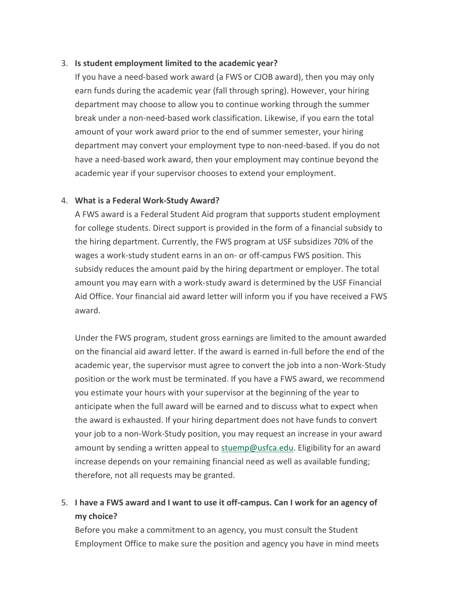# 3. **Is student employment limited to the academic year?**

If you have a need-based work award (a FWS or CJOB award), then you may only earn funds during the academic year (fall through spring). However, your hiring department may choose to allow you to continue working through the summer break under a non-need-based work classification. Likewise, if you earn the total amount of your work award prior to the end of summer semester, your hiring department may convert your employment type to non-need-based. If you do not have a need-based work award, then your employment may continue beyond the academic year if your supervisor chooses to extend your employment.

# 4. **What is a Federal Work-Study Award?**

A FWS award is a Federal Student Aid program that supports student employment for college students. Direct support is provided in the form of a financial subsidy to the hiring department. Currently, the FWS program at USF subsidizes 70% of the wages a work-study student earns in an on- or off-campus FWS position. This subsidy reduces the amount paid by the hiring department or employer. The total amount you may earn with a work-study award is determined by the USF Financial Aid Office. Your financial aid award letter will inform you if you have received a FWS award.

Under the FWS program, student gross earnings are limited to the amount awarded on the financial aid award letter. If the award is earned in-full before the end of the academic year, the supervisor must agree to convert the job into a non-Work-Study position or the work must be terminated. If you have a FWS award, we recommend you estimate your hours with your supervisor at the beginning of the year to anticipate when the full award will be earned and to discuss what to expect when the award is exhausted. If your hiring department does not have funds to convert your job to a non-Work-Study position, you may request an increase in your award amount by sending a written appeal to [stuemp@usfca.edu.](mailto:stuemp@usfca.edu) Eligibility for an award increase depends on your remaining financial need as well as available funding; therefore, not all requests may be granted.

# 5. **I have a FWS award and I want to use it off-campus. Can I work for an agency of my choice?**

Before you make a commitment to an agency, you must consult the Student Employment Office to make sure the position and agency you have in mind meets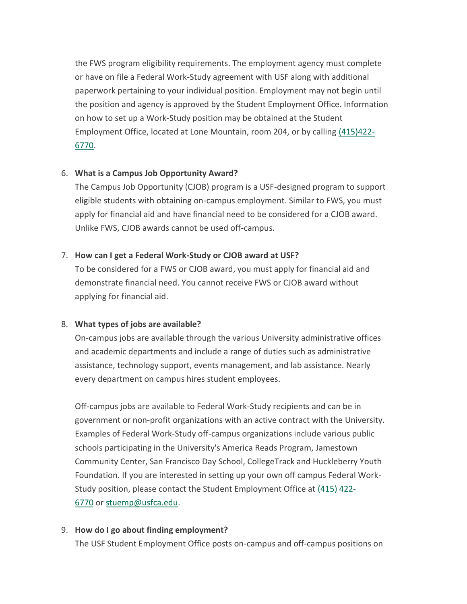the FWS program eligibility requirements. The employment agency must complete or have on file a Federal Work-Study agreement with USF along with additional paperwork pertaining to your individual position. Employment may not begin until the position and agency is approved by the Student Employment Office. Information on how to set up a Work-Study position may be obtained at the Student Employment Office, located at Lone Mountain, room 204, or by calling [\(415\)422-](tel:4154226770) [6770.](tel:4154226770)

# 6. **What is a Campus Job Opportunity Award?**

The Campus Job Opportunity (CJOB) program is a USF-designed program to support eligible students with obtaining on-campus employment. Similar to FWS, you must apply for financial aid and have financial need to be considered for a CJOB award. Unlike FWS, CJOB awards cannot be used off-campus.

# 7. **How can I get a Federal Work-Study or CJOB award at USF?**

To be considered for a FWS or CJOB award, you must apply for financial aid and demonstrate financial need. You cannot receive FWS or CJOB award without applying for financial aid.

#### 8. **What types of jobs are available?**

On-campus jobs are available through the various University administrative offices and academic departments and include a range of duties such as administrative assistance, technology support, events management, and lab assistance. Nearly every department on campus hires student employees.

Off-campus jobs are available to Federal Work-Study recipients and can be in government or non-profit organizations with an active contract with the University. Examples of Federal Work-Study off-campus organizations include various public schools participating in the University's America Reads Program, Jamestown Community Center, San Francisco Day School, CollegeTrack and Huckleberry Youth Foundation. If you are interested in setting up your own off campus Federal Work-Study position, please contact the Student Employment Office at [\(415\) 422-](tel:4154226770) [6770](tel:4154226770) or [stuemp@usfca.edu.](mailto:stuemp@usfca.edu)

# 9. **How do I go about finding employment?**

The USF Student Employment Office posts on-campus and off-campus positions on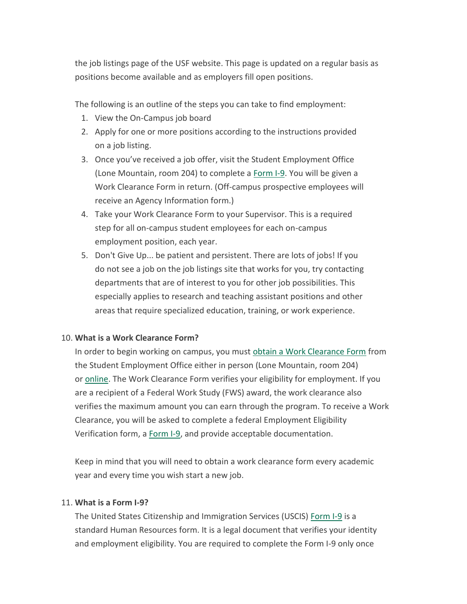the job listings page of the USF website. This page is updated on a regular basis as positions become available and as employers fill open positions.

The following is an outline of the steps you can take to find employment:

- 1. View the On-Campus job board
- 2. Apply for one or more positions according to the instructions provided on a job listing.
- 3. Once you've received a job offer, visit the Student Employment Office (Lone Mountain, room 204) to complete a [Form I-9.](https://myusf.usfca.edu/onestop/student-employment/completing-form-i-9) You will be given a Work Clearance Form in return. (Off-campus prospective employees will receive an Agency Information form.)
- 4. Take your Work Clearance Form to your Supervisor. This is a required step for all on-campus student employees for each on-campus employment position, each year.
- 5. Don't Give Up... be patient and persistent. There are lots of jobs! If you do not see a job on the job listings site that works for you, try contacting departments that are of interest to you for other job possibilities. This especially applies to research and teaching assistant positions and other areas that require specialized education, training, or work experience.

# 10. **What is a Work Clearance Form?**

In order to begin working on campus, you must [obtain a Work Clearance Form](https://myusf.usfca.edu/onestop/student-employment/work-clearance-request) from the Student Employment Office either in person (Lone Mountain, room 204) or [online.](https://myusf.usfca.edu/onestop/student-employment/work-clearance-request) The Work Clearance Form verifies your eligibility for employment. If you are a recipient of a Federal Work Study (FWS) award, the work clearance also verifies the maximum amount you can earn through the program. To receive a Work Clearance, you will be asked to complete a federal Employment Eligibility Verification form, a [Form I-9,](https://myusf.usfca.edu/system/files/one-stop/student_employee_i9.pdf) and provide acceptable documentation.

Keep in mind that you will need to obtain a work clearance form every academic year and every time you wish start a new job.

# 11. **What is a Form I-9?**

The United States Citizenship and Immigration Services (USCIS) [Form I-9](https://myusf.usfca.edu/system/files/one-stop/student_employee_i9.pdf) is a standard Human Resources form. It is a legal document that verifies your identity and employment eligibility. You are required to complete the Form I-9 only once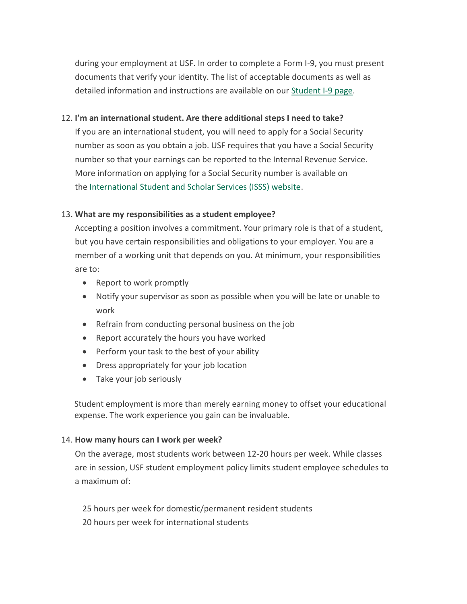during your employment at USF. In order to complete a Form I-9, you must present documents that verify your identity. The list of acceptable documents as well as detailed information and instructions are available on our [Student I-9 page.](https://myusf.usfca.edu/onestop/student-employment/completing-form-i-9)

# 12. **I'm an international student. Are there additional steps I need to take?**

If you are an international student, you will need to apply for a Social Security number as soon as you obtain a job. USF requires that you have a Social Security number so that your earnings can be reported to the Internal Revenue Service. More information on applying for a Social Security number is available on the [International Student and Scholar Services \(ISSS\) website.](http://myusf.usfca.edu/isss/apply-for-social-security-number%0A)

# 13. **What are my responsibilities as a student employee?**

Accepting a position involves a commitment. Your primary role is that of a student, but you have certain responsibilities and obligations to your employer. You are a member of a working unit that depends on you. At minimum, your responsibilities are to:

- Report to work promptly
- Notify your supervisor as soon as possible when you will be late or unable to work
- Refrain from conducting personal business on the job
- Report accurately the hours you have worked
- Perform your task to the best of your ability
- Dress appropriately for your job location
- Take your job seriously

Student employment is more than merely earning money to offset your educational expense. The work experience you gain can be invaluable.

#### 14. **How many hours can I work per week?**

On the average, most students work between 12-20 hours per week. While classes are in session, USF student employment policy limits student employee schedules to a maximum of:

25 hours per week for domestic/permanent resident students 20 hours per week for international students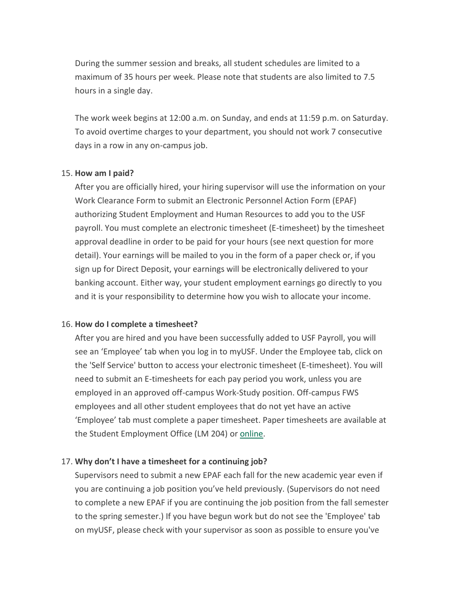During the summer session and breaks, all student schedules are limited to a maximum of 35 hours per week. Please note that students are also limited to 7.5 hours in a single day.

The work week begins at 12:00 a.m. on Sunday, and ends at 11:59 p.m. on Saturday. To avoid overtime charges to your department, you should not work 7 consecutive days in a row in any on-campus job.

#### 15. **How am I paid?**

After you are officially hired, your hiring supervisor will use the information on your Work Clearance Form to submit an Electronic Personnel Action Form (EPAF) authorizing Student Employment and Human Resources to add you to the USF payroll. You must complete an electronic timesheet (E-timesheet) by the timesheet approval deadline in order to be paid for your hours (see next question for more detail). Your earnings will be mailed to you in the form of a paper check or, if you sign up for Direct Deposit, your earnings will be electronically delivered to your banking account. Either way, your student employment earnings go directly to you and it is your responsibility to determine how you wish to allocate your income.

#### 16. **How do I complete a timesheet?**

After you are hired and you have been successfully added to USF Payroll, you will see an 'Employee' tab when you log in to myUSF. Under the Employee tab, click on the 'Self Service' button to access your electronic timesheet (E-timesheet). You will need to submit an E-timesheets for each pay period you work, unless you are employed in an approved off-campus Work-Study position. Off-campus FWS employees and all other student employees that do not yet have an active 'Employee' tab must complete a paper timesheet. Paper timesheets are available at the Student Employment Office (LM 204) or [online.](http://myusf.usfca.edu/sites/default/files/timesheet.pdf)

#### 17. **Why don't I have a timesheet for a continuing job?**

Supervisors need to submit a new EPAF each fall for the new academic year even if you are continuing a job position you've held previously. (Supervisors do not need to complete a new EPAF if you are continuing the job position from the fall semester to the spring semester.) If you have begun work but do not see the 'Employee' tab on myUSF, please check with your supervisor as soon as possible to ensure you've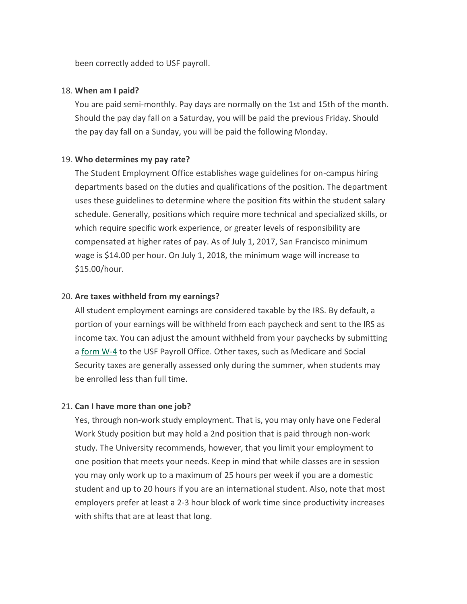been correctly added to USF payroll.

#### 18. **When am I paid?**

You are paid semi-monthly. Pay days are normally on the 1st and 15th of the month. Should the pay day fall on a Saturday, you will be paid the previous Friday. Should the pay day fall on a Sunday, you will be paid the following Monday.

# 19. **Who determines my pay rate?**

The Student Employment Office establishes wage guidelines for on-campus hiring departments based on the duties and qualifications of the position. The department uses these guidelines to determine where the position fits within the student salary schedule. Generally, positions which require more technical and specialized skills, or which require specific work experience, or greater levels of responsibility are compensated at higher rates of pay. As of July 1, 2017, San Francisco minimum wage is \$14.00 per hour. On July 1, 2018, the minimum wage will increase to \$15.00/hour.

# 20. **Are taxes withheld from my earnings?**

All student employment earnings are considered taxable by the IRS. By default, a portion of your earnings will be withheld from each paycheck and sent to the IRS as income tax. You can adjust the amount withheld from your paychecks by submitting a [form W-4](https://myusf.usfca.edu/system/files/one-stop/student_employee_fw4.pdf) to the USF Payroll Office. Other taxes, such as Medicare and Social Security taxes are generally assessed only during the summer, when students may be enrolled less than full time.

#### 21. **Can I have more than one job?**

Yes, through non-work study employment. That is, you may only have one Federal Work Study position but may hold a 2nd position that is paid through non-work study. The University recommends, however, that you limit your employment to one position that meets your needs. Keep in mind that while classes are in session you may only work up to a maximum of 25 hours per week if you are a domestic student and up to 20 hours if you are an international student. Also, note that most employers prefer at least a 2-3 hour block of work time since productivity increases with shifts that are at least that long.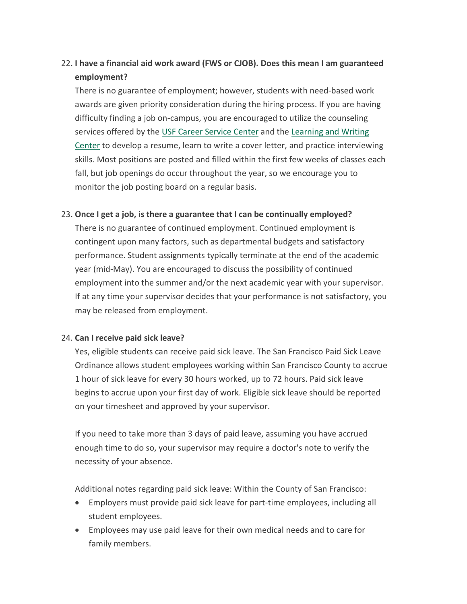# 22. **I have a financial aid work award (FWS or CJOB). Does this mean I am guaranteed employment?**

There is no guarantee of employment; however, students with need-based work awards are given priority consideration during the hiring process. If you are having difficulty finding a job on-campus, you are encouraged to utilize the counseling services offered by the [USF Career Service Center](http://myusf.usfca.edu/student-life/career-services%0A) and the [Learning and Writing](http://myusf.usfca.edu/student-life/lwc%0A)  [Center](http://myusf.usfca.edu/student-life/lwc%0A) to develop a resume, learn to write a cover letter, and practice interviewing skills. Most positions are posted and filled within the first few weeks of classes each fall, but job openings do occur throughout the year, so we encourage you to monitor the job posting board on a regular basis.

# 23. **Once I get a job, is there a guarantee that I can be continually employed?**

There is no guarantee of continued employment. Continued employment is contingent upon many factors, such as departmental budgets and satisfactory performance. Student assignments typically terminate at the end of the academic year (mid-May). You are encouraged to discuss the possibility of continued employment into the summer and/or the next academic year with your supervisor. If at any time your supervisor decides that your performance is not satisfactory, you may be released from employment.

# 24. **Can I receive paid sick leave?**

Yes, eligible students can receive paid sick leave. The San Francisco Paid Sick Leave Ordinance allows student employees working within San Francisco County to accrue 1 hour of sick leave for every 30 hours worked, up to 72 hours. Paid sick leave begins to accrue upon your first day of work. Eligible sick leave should be reported on your timesheet and approved by your supervisor.

If you need to take more than 3 days of paid leave, assuming you have accrued enough time to do so, your supervisor may require a doctor's note to verify the necessity of your absence.

Additional notes regarding paid sick leave: Within the County of San Francisco:

- Employers must provide paid sick leave for part-time employees, including all student employees.
- Employees may use paid leave for their own medical needs and to care for family members.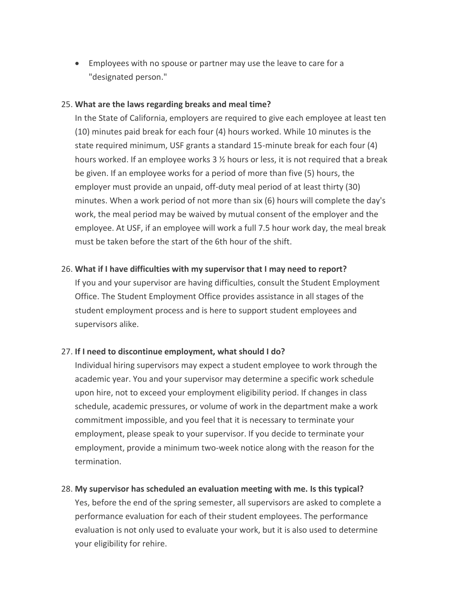Employees with no spouse or partner may use the leave to care for a "designated person."

# 25. **What are the laws regarding breaks and meal time?**

In the State of California, employers are required to give each employee at least ten (10) minutes paid break for each four (4) hours worked. While 10 minutes is the state required minimum, USF grants a standard 15-minute break for each four (4) hours worked. If an employee works 3 ½ hours or less, it is not required that a break be given. If an employee works for a period of more than five (5) hours, the employer must provide an unpaid, off-duty meal period of at least thirty (30) minutes. When a work period of not more than six (6) hours will complete the day's work, the meal period may be waived by mutual consent of the employer and the employee. At USF, if an employee will work a full 7.5 hour work day, the meal break must be taken before the start of the 6th hour of the shift.

# 26. **What if I have difficulties with my supervisor that I may need to report?**

If you and your supervisor are having difficulties, consult the Student Employment Office. The Student Employment Office provides assistance in all stages of the student employment process and is here to support student employees and supervisors alike.

# 27. **If I need to discontinue employment, what should I do?**

Individual hiring supervisors may expect a student employee to work through the academic year. You and your supervisor may determine a specific work schedule upon hire, not to exceed your employment eligibility period. If changes in class schedule, academic pressures, or volume of work in the department make a work commitment impossible, and you feel that it is necessary to terminate your employment, please speak to your supervisor. If you decide to terminate your employment, provide a minimum two-week notice along with the reason for the termination.

#### 28. **My supervisor has scheduled an evaluation meeting with me. Is this typical?**

Yes, before the end of the spring semester, all supervisors are asked to complete a performance evaluation for each of their student employees. The performance evaluation is not only used to evaluate your work, but it is also used to determine your eligibility for rehire.